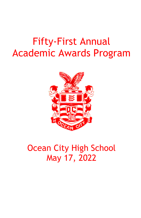# Fifty-First Annual Academic Awards Program



## Ocean City High School May 17, 2022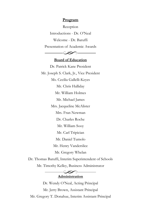#### **Program**

Reception Introductions - Dr. O'Neal Welcome - Dr. Baruffi Presentation of Academic Awards



#### **Board of Education**

Dr. Patrick Kane President Mr. Joseph S. Clark, Jr., Vice President Ms. Cecilia Gallelli-Keyes Mr. Chris Halliday Mr. William Holmes Mr. Michael James Mrs. Jacqueline McAlister Mrs. Fran Newman Dr. Charles Roche Mr. William Sooy Mr. Carl Tripician Mr. Daniel Tumolo Mr. Henry Vanderslice Mr. Gregory Whelan

Dr. Thomas Baruffi, Interim Superintendent of Schools Mr. Timothy Kelley, Business Administrator

> $-\infty$ -**Administration**

Dr. Wendy O'Neal, Acting Principal Mr. Jerry Brown, Assistant Principal Mr. Gregory T. Donahue, Interim Assistant Principal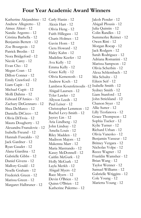## **Four Year Academic Award Winners**

| Katherine Alejandrino - 12 | Carly Hanin - 12                                  | Jakob Pender - 12       |
|----------------------------|---------------------------------------------------|-------------------------|
| Andrew Allegretto - 12     | Alexis Hart - 12                                  | Abigail Plousis - 12    |
| Aimee Altieri - 12         | Olivia Heng - 12                                  | Julia Quintin - 12      |
| Natalie Argento - 12       | Faith Hillegass - 12                              | Colin Randles - 12      |
| Cristina Barbella - 12     | Charis Holmes - 12                                | Summerlee Reimet - 12   |
| Benjamin Bertett - 12      | Gavin Horn - 12                                   | Owen Ritti - 12         |
| Zoe Bourgeois - 12         | Ciera Howard - 12                                 | Morgan Rocap - 12       |
| Patrick Breslin - 12       | Haley Kahn - 12                                   | Jack Rodgers - 12       |
| Nora Bridgeford - 12       | Madeline Keefer - 12                              | Sarah Rodriguez - 12    |
| Nicole Carey - 12          | Ava Kelly - 12                                    | Adriana Romanini - 12   |
| Evan Cho - 12              | Emma Kelly - 12                                   | Marissa Sampson - 12    |
| Megan Coan - 12            | Grace Kelly - 12                                  | Olivia Scherbin - 12    |
| Dillon Conner - 12         |                                                   | Alexa Schlembach - 12   |
| Emily Crawford - 12        | Olivia Kemenosh - 12                              | Mia Schultz - 12        |
| Liam Cupit - 12            | Andrew Koch - 12                                  | Eileen Seif - 12        |
| Michael Cupit - 12         | Lambros Koutsfetsoulis -12 Isabelle Smith - 12    | Sydney Smith - 12       |
| Molli Dahms - 12           | Abigail Laursen - 12                              | Liam Stanford - 12      |
| Edward D'Amico - 12        | Tyler Lawler - 12                                 | John Strickland - 12    |
| Zachary DeGennaro - 12     | Allyson Leeds - 12                                | Chanon Styer - 12       |
| Shea DeMarco - 12          | Paul Leiser - 12                                  | Allie Sutter - 12       |
| Daniella DiCicco - 12      | Christopher Lemmon - 12<br>Rachel Levy-Smith - 12 | Lilly Teofanova - 12    |
|                            | Jaycey Lin - 12                                   | Grace Thompson - 12     |
| Olivia DiTroia - 12        | Aria Lindberg - 12                                | Sophia Tucker - 12      |
| Maura Dougherty - 12       | John Lindsay - 12                                 | Kylie Turner - 12       |
| Alexandra Franulovic - 12  | Amelia Louis - 12                                 | Richard Urban - 12      |
| Isabella Freund - 12       | Riley Madden - 12                                 | Olivia Vanesko - 12     |
| Hannah Fuscaldo - 12       | Madison Majors - 12                               | Benjamin Vasseur - 12   |
| Jack Gardner - 12          | Makenna Marr - 12                                 | Britney Vergara - 12    |
| Ryan Gaudet - 12           | Maria Mastrando - 12                              | Nicholas Volpe - 12     |
| Alana Giardina - 12        | Kasey McDonnell - 12                              | Reece Wagner - 12       |
| Gabrielle Gibbs - 12       | Caitlin McGurk - 12                               | Franklin Wamsher - 12   |
| Daniel Givens - 12         | Holly McGurk - 12                                 | Brian Wang - 12         |
| Mallory Gould - 12         | Layla Merkh - 12                                  | Taylor Wenner - 12      |
| Noelle Graham - 12         | Abigail Myers -12                                 | Samuel Williams - 12    |
| Frederick Green - 12       | Race Myers - 12                                   | Gabrielle Wriggins - 12 |
| Marissa Green - 12         | Devin O'Brien - 12                                | Cole Young - 12         |
| Margaret Halbruner - 12    | Quinn O'Brien - 12                                | Marietta Young - 12     |
|                            | Katherine Palermo - 12                            |                         |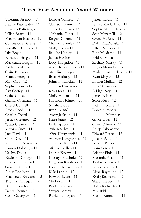#### **Three Year Academic Award Winners**

Valentina Asenov - 11 Natalie Batchelder - 11 Amanda Battersby - 11 Lillian Beard - 11 Maximilian Beckert - 12 Constantine Beseris - 11 Leia-Rece Boney - 11 Jake Boyle - 11 Elizabeth Brogan - 11 Mackenzie Brogan - 11 Ashlee Broker - 11 Claire Brooks - 11 Mattea Brozyna - 11 Mira Carr - 12 Sophia Cione - 12 Ava Coffey - 11 Claire Coffey - 11 Gianna Coleman - 11 Cheryl Connell - 11 Brock Cook - 11 Charles Costal - 11 Jessica Creamer - 12 Wyatt Creamer - 11 Vittoria Cuce - 11 Jack Davis - 11 Colin Dice - 11 Katherine Doliszny - 11 Lauren Doliszny - 11 Kaelyn Dolka - 11 Kayleigh Donegan - 11 Elizabeth Drain - 12 Grace Edling - 12 Aiden Endicott - 11 Mackenzie Enteado - 12 Thomas Finnegan - 12 Daniel Flesch - 11 Dante Forman - 12 Carly Gallagher - 11

Dakota Gansert - 11 Christian Ganter - 11 Grace Gehman - 12 Nathaniel Ginet - 11 Reagan Gorman - 11 Michael Grimley - 11 Molly Haak - 11 Brooke Hanley - 11 James Hanlon - 11 Dory Hargadon - 11 Andi Helphenstine - 11 Madeline Heng - 11 Brett Heritage - 12 Johnson Hincken - 11 Stephen Hincken - 11 Jack Hoag - 11 Molly Hoffman - 11 Harrison Holmes - 11 Natalie Hope - 11 Ryan Ireland - 11 Avery Jackson - 11 Keira Janto - 12 Leah Japzon - 11 Avia Kaarby - 11 Alina Karayiannis - 11 Andrew Karayiannis - 11 Cameron Keir - 11 Michael Kelly - 11 Lauren Knopp - 11 Kierstyn Kuehnle - 12 Ferguson Kurilko - 11 Eleanor Kutschera - 11 Kyle Lappin - 12 Edward Leeds - 11 Mo Levin - 11 Brielle Linden - 11 Sawyer Lomax - 11 Patrick Lonergan - 11

Janeen Louis - 11 Jeffrey Macfarland - 11 Sophie Mammele - 12 Sean Mazzitelli - 12 Grace McAfee - 11 Dylan McDonald - 11 Ethan Meron - 11 Finn Miedama - 11 Bridget Millar - 11 Zachary Mirsky - 11 Logan Monteleone - 11 Madeline Monteleone - 11 Ryan Moylan - 12 Loralei Mullins - 12 Julia Newman - 11 Bridget Ney - 11 James Nilsen - 11 Scott Nuss - 12 Aidan O'Kane - 11 Daniel Oropeza -Martinez - 11 Grace Oves - 11 Olivia Palmieri - 11 Philip Palomeque - 11 Edward Pearce - 12 Joseph Pepe - 11 Isabella Pero - 11 Liam Pero - 11 Adeline Piola - 11 Maranda Pisano - 11 Taylor Pontari - 11 Lucas Powell - 12 Alexa Raymond - 12 Kraig Redmond - 12 Shawn Repetti - 11 Haley Richards - 11 Mya Rihl - 11 Mason Romanini - 11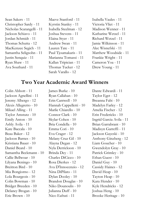- Sean Sakers 11 Christopher Sardy - 11 Nicholas Scarangelli - 11 Jackson Schiavo - 11 Jordan Schmidt - 11 Thomas Schutta - 12 MacKenzee Segich - 11 Samantha Seligsohn - 11 Justin Senquiz - 11 Ryan Shaw - 11 Ava Southard - 11
- Maeve Stanford 11 Kyrstin Stanley - 11 Isabella Steelman - 12 Joshua Stevens - 11 Elaina Styer - 11 Andrew Swan - 11 Lauren Tate - 11 Paul Tjoumakaris - 11 Marianna Tomassi - 11 Kallan Tripician - 11 Thomas Tucker - 12 Sarah Varallo - 12
- Isabella Vaules 11 Victoria Vliet - 11 Madison Wenner - 11 Katharine Wetzel - 11 Richard Wetzel - 11 Jamie Wilkinson - 11 Alec Wisnefski - 11 Matthew Woodside - 11 Frankie Wright - 11 Cameron Yoa - 11 Drew Young - 11

#### **Two Year Academic Award Winners**

Colin Abbott - 11 Jackson Agnellini - 11 Jeremy Albergo - 12 Alexis Allegretto - 10 Mikael Alling - 11 Taylor Amstutz - 10 Emily Anton - 10 Ashly Avila - 11 Kate Baccala - 10 Beau Baker - 12 Jackson Barnes - 10 Kristiana Bauer - 10 Daniel Beard - 10 Samantha Beckmann - 10 Callie Bellwoar - 10 Lilyana Beningo - 10 Breitton Bird - 10 Mia Bongiorno - 12 Lola Bourgeois - 10 Colin Bowman - 10 Bridget Breeden - 10 Delaney Brogan - 10 Eric Brown - 10

James Burke - 10 Ryan Callahan - 10 Erin Cantwell - 10 Hannah Cappelletti - 10 Marlie Chiarello - 10 Connor Clark - 10 Skylar Cohen - 10 Bria Condella - 10 Emma Cori - 10 Eva Crager - 12 Melany Cruz Gil - 10 Alayna Degan - 12 Nyla Derrickson - 10 Brinda Dey - 11 Charles DiCicco - 10 Rosa Dierkes - 12 Ava D'Innocenzio - 12 Nina DiPilato - 11 Dylan Dooley - 10 Brandon Douglas - 10 Niko Dounoulis - 10 Julianna Duff - 10 Nico Eafrati - 11

Dante Edwardi - 11 Taylor Eget - 12 Breanna Fabi - 10 Madelyn Farley - 12 Amelia Fischer - 12 Erin Fredericks - 10 Ingrid Garcia Avila - 11 Brian Garrabrant - 10 Madisyn Garreffi - 11 Jackson Gayeski - 10 Anthony Ginzberg - 12 Liam Goucher - 10 Gwendolyn Gray - 10 Patrick Grimley - 10 Ethan Guest - 10 Daniel Guy - 10 Cassidy Haines - 12 David Heap - 10 Tayton Heap - 10 Kara Hender - 10 Kyle Hendricks - 12 Joshua Heng - 10 Brooke Heritage - 10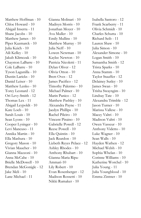Matthew Hoffman - 10 Chloe Howard - 10 Abigail Inserra - 11 Shane Jacobs - 10 Matthew James - 10 Piper Kazmarck - 10 Julia Keich - 10 Aili Kelley - 10 Jakub Klimczak - 10 Chayston LaBarre - 10 Cole LaBarre - 10 Tyson Lagunilla - 10 Dustin Laricks - 10 Daniel Leiser - 10 Matthew Lenko - 10 Torey Leonard - 12 Ori Levy-Smith - 12 Thomas Lex - 11 Abigail Leypoldt - 10 Kate Loeb - 10 Sarah Louis - 10 Sean Lyons - 10 Cooper Lysinger - 10 Levi Mancuso - 11 Annika Martin - 10 Ella Mashura - 10 Gregory Mason - 10 Vivian Maucher - 10 Gianna Mazzoni - 10 Anna McCabe - 10 Brielle McDowell - 10 Brendan McGonigle - 12 Jake Meli - 10 Lane Michael - 11

Gianna Molinari - 10 Madisyn Morris - 10 Jonathan Moyer - 10 Ava Muller - 10 Emily Mullins - 10 Matthew Murray - 10 Julia Neff - 10 Lowen Newman - 10 Kaylee Newton - 10 Patricia Nicoletti - 11 Dylan Oliver - 12 Olivia Otton - 10 Brett Oves - 12 James Pacifico - 12 Timothy Palermo - 10 Michael Palmer - 10 Marin Panico - 12 Matthew Pashley - 10 Alexandra Payne - 11 Jaedyn Phillips - 10 Rachel Pileiro - 10 Vincent Piraino - 10 Gabrielle Powell - 12 Reese Powell - 10 Ella Quintin - 10 Jack Reardon - 10 Lizbeth Reyes Pelaez - 12 Ashley Rhodes - 10 Anthony Rhubart - 10 Gianna-Maria Ripa-Ammari-10 Lily Robert - 10 Evan Rosenberger - 12 Madison Rossetti - 10 Nikki Rumaker - 10

Isabella Santoro - 12 Frank Scarberry - 11 Olivia Schmidt - 10 Charles Schutta - 10 Richard Seib - 11 Lauren Shaw - 10 Julia Simon - 10 Alexander Simone - 10 Logan Smith - 10 Samantha Smith - 12 Trista Sparks - 10 Anna Stamm - 10 Taylor Stauffer - 12 Delainey Sutley - 10 James Swan - 10 Trisha Swayngim - 10 Lindsay Tate - 10 Alexandra Trimble - 12 Jason Turner - 10 Marissa Vallese - 10 Macey Valtri - 10 Madison Valtri - 10 Owen Vasseur - 10 Anthony Videtto - 10 Luke Wagner - 10 Sean Walls - 10 Hayden Wathen - 12 Michael Welsh - 10 Sophia Whelan - 10 Corinne Williams - 10 Katherine Worchel - 10 Julia Young - 11 Julia Youngblood - 10 Emma Zintner - 10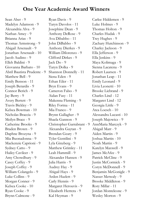### **One Year Academic Award Winners**

Sean Aber - 9 Madelyn Adamson - 9 Alexandria Alva - 9 Nathan Amey - 9 Brianna Arias - 9 Thomas Armstrong - 9 Abigail Arsenault - 9 Jonathan Arsenault - 10 Jacob Audino - 9 Elleh Baldini - 9 Giovanna Barbato - 10 Abril Bautista Prudente - 9 Matthew Bell - 9 Emily Benson - 11 Joseph Berardis - 9 Connor Berich - 9 Jay Berry - 9 Avery Bertett - 9 Travis Bickley - 9 Kelsea Bowman - 10 Nicholas Braccia - 9 Meilyn Brace - 9 Catherine Brooks - 9 Braden Brown - 9 Daphne Brozyna - 9 Mia Buonadonna - 9 Mackenzie Caprioni - 9 Sydney Catto - 9 Hailey Cavileer - 9 Amy Chowdhury - 9 Casey Coffey - 9 Joseph Coffey - 9 William Colangelo - 9 Luke Collins - 9 Morgan Conner - 9 Kelsea Cooke - 10 Ryan Cooke - 9 Brynn Culmone - 9

Ryan Davis - 9 Taryn Davolos - 11 Josephine Dean - 9 Anthony DeRose - 9 Ava Dibabbo - 11 John DiBabbo - 9 Anthony Dierkes - 9 William Dilorenzo - 9 Clifford Dirkes - 9 Jack Do - 9 Taryn Dolka - 9 Shannon Donnelly - 11 Siena Eden - 9 Ethan Eiler - 11 Bryn Evans - 9 Cameron Falso - 9 Aidan Fasy - 11 Makenna Fleming - 9 Riley Fortna - 11 Mia Franco - 9 Brynn Gallagher - 9 Shaela Gannon - 9 Christopher Garrabrant - 9 AnnMaria Marczyk - 9 Alexandra Gaytan - 9 Brendan Geary - 9 Tyler Gentilini - 9 Lyla Ginzberg - 9 Matthew Grimley - 11 Leah Hammill - 9 Alexander Hansen - 9 Julia Harris - 9 Audrey Hay - 9 Abigail Hays - 9 Arden Hazlett - 9 Carly Hennis - 9 Margaret Herouvis - 9 Elizabeth Herrera - 9 Kal Heyman - 9

Carlee Hiddemen - 9 Luke Holmes - 9 Thomas Holton - 9 Charles Hudak - 9 Trey Hughes - 9 Zachary Hutchinson - 9 Charley Jackson - 9 Ella Jefferson - 9 Ella Jenkins - 9 Maya Kolimaga - 9 Sienna Lacatena - 9 Robert Laursen - 9 Jonathan Leap - 11 Emily Leonard - 9 Livia Leonetti - 10 Brooke Liebrand - 9 Charles Lind - 12 Margaret Lind - 12 Georgia Little - 9 Atea Loesch - 10 Alessandra Lucasti - 10 Joseph Majowicz - 9 Abigail Marr - 9 Aiden Martin - 9 Joshua Martin - 10 Noah Martin - 9 Katelyn Maxwell - 9 James McAfee - 9 Patrick McCline - 9 Justin McCormick - 9 Coryn McDonnell - 9 Benjamin McGonigle - 9 Nasser Metwaly - 9 Brooke Middleton - 9 Rory Millar - 11 Jordan Monteleone - 9 Wesley Morton - 9